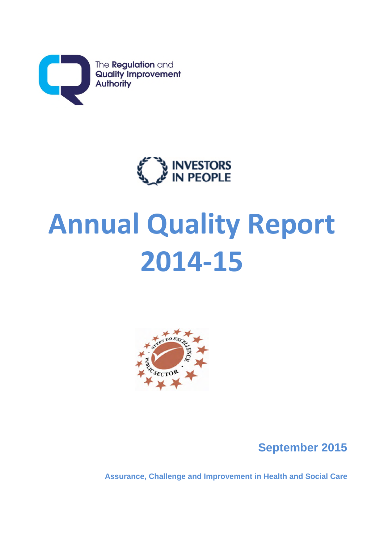



# **Annual Quality Report 2014-15**



### **September 2015**

**Assurance, Challenge and Improvement in Health and Social Care**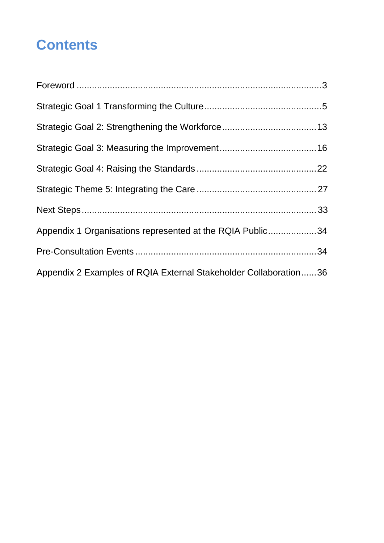# **Contents**

| Appendix 1 Organisations represented at the RQIA Public34        |  |
|------------------------------------------------------------------|--|
|                                                                  |  |
| Appendix 2 Examples of RQIA External Stakeholder Collaboration36 |  |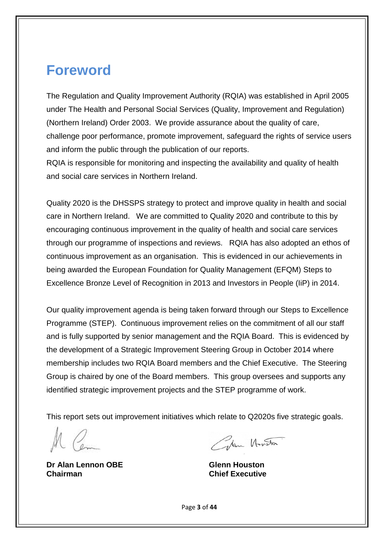### **Foreword**

The Regulation and Quality Improvement Authority (RQIA) was established in April 2005 under The Health and Personal Social Services (Quality, Improvement and Regulation) (Northern Ireland) Order 2003. We provide assurance about the quality of care, challenge poor performance, promote improvement, safeguard the rights of service users and inform the public through the publication of our reports. RQIA is responsible for monitoring and inspecting the availability and quality of health

and social care services in Northern Ireland.

Quality 2020 is the DHSSPS strategy to protect and improve quality in health and social care in Northern Ireland. We are committed to Quality 2020 and contribute to this by encouraging continuous improvement in the quality of health and social care services through our programme of inspections and reviews. RQIA has also adopted an ethos of continuous improvement as an organisation. This is evidenced in our achievements in being awarded the European Foundation for Quality Management (EFQM) Steps to Excellence Bronze Level of Recognition in 2013 and Investors in People (IiP) in 2014.

Our quality improvement agenda is being taken forward through our Steps to Excellence Programme (STEP). Continuous improvement relies on the commitment of all our staff and is fully supported by senior management and the RQIA Board. This is evidenced by the development of a Strategic Improvement Steering Group in October 2014 where membership includes two RQIA Board members and the Chief Executive. The Steering Group is chaired by one of the Board members. This group oversees and supports any identified strategic improvement projects and the STEP programme of work.

This report sets out improvement initiatives which relate to Q2020s five strategic goals.

**Dr Alan Lennon OBE Glenn Houston Chairman Chief Executive**

Jem Howston

Page **3** of **44**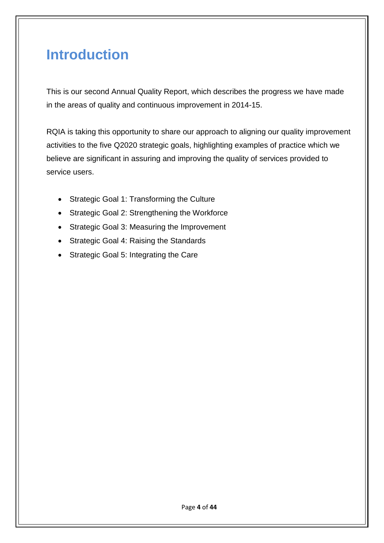### **Introduction**

This is our second Annual Quality Report, which describes the progress we have made in the areas of quality and continuous improvement in 2014-15.

RQIA is taking this opportunity to share our approach to aligning our quality improvement activities to the five Q2020 strategic goals, highlighting examples of practice which we believe are significant in assuring and improving the quality of services provided to service users.

- Strategic Goal 1: Transforming the Culture
- Strategic Goal 2: Strengthening the Workforce
- Strategic Goal 3: Measuring the Improvement
- Strategic Goal 4: Raising the Standards
- Strategic Goal 5: Integrating the Care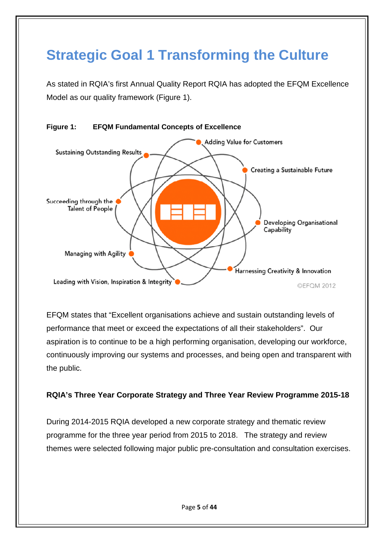# **Strategic Goal 1 Transforming the Culture**

As stated in RQIA's first Annual Quality Report RQIA has adopted the EFQM Excellence Model as our quality framework (Figure 1).



**Figure 1: EFQM Fundamental Concepts of Excellence**

EFQM states that "Excellent organisations achieve and sustain outstanding levels of performance that meet or exceed the expectations of all their stakeholders". Our aspiration is to continue to be a high performing organisation, developing our workforce, continuously improving our systems and processes, and being open and transparent with the public.

#### **RQIA's Three Year Corporate Strategy and Three Year Review Programme 2015-18**

During 2014-2015 RQIA developed a new corporate strategy and thematic review programme for the three year period from 2015 to 2018. The strategy and review themes were selected following major public pre-consultation and consultation exercises.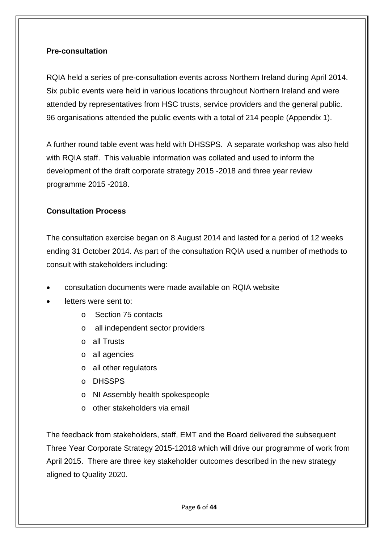#### **Pre-consultation**

RQIA held a series of pre-consultation events across Northern Ireland during April 2014. Six public events were held in various locations throughout Northern Ireland and were attended by representatives from HSC trusts, service providers and the general public. 96 organisations attended the public events with a total of 214 people (Appendix 1).

A further round table event was held with DHSSPS. A separate workshop was also held with RQIA staff. This valuable information was collated and used to inform the development of the draft corporate strategy 2015 -2018 and three year review programme 2015 -2018.

#### **Consultation Process**

The consultation exercise began on 8 August 2014 and lasted for a period of 12 weeks ending 31 October 2014. As part of the consultation RQIA used a number of methods to consult with stakeholders including:

- consultation documents were made available on RQIA website
- letters were sent to:
	- o Section 75 contacts
	- o all independent sector providers
	- o all Trusts
	- o all agencies
	- o all other regulators
	- o DHSSPS
	- o NI Assembly health spokespeople
	- o other stakeholders via email

The feedback from stakeholders, staff, EMT and the Board delivered the subsequent Three Year Corporate Strategy 2015-12018 which will drive our programme of work from April 2015. There are three key stakeholder outcomes described in the new strategy aligned to Quality 2020.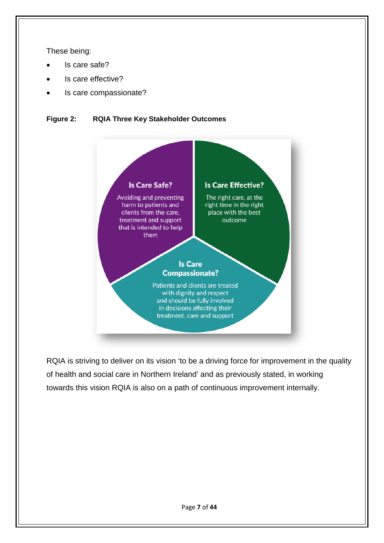These being:

- Is care safe?
- Is care effective?
- Is care compassionate?





RQIA is striving to deliver on its vision 'to be a driving force for improvement in the quality of health and social care in Northern Ireland' and as previously stated, in working towards this vision RQIA is also on a path of continuous improvement internally.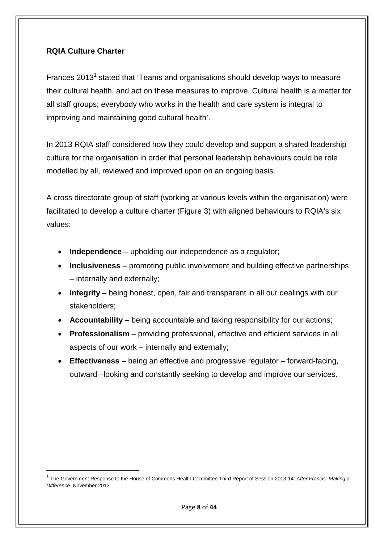#### **RQIA Culture Charter**

Frances 2013<sup>1</sup> stated that 'Teams and organisations should develop ways to measure their cultural health, and act on these measures to improve. Cultural health is a matter for all staff groups; everybody who works in the health and care system is integral to improving and maintaining good cultural health'.

In 2013 RQIA staff considered how they could develop and support a shared leadership culture for the organisation in order that personal leadership behaviours could be role modelled by all, reviewed and improved upon on an ongoing basis.

A cross directorate group of staff (working at various levels within the organisation) were facilitated to develop a culture charter (Figure 3) with aligned behaviours to RQIA's six values:

- **Independence** upholding our independence as a regulator;
- **Inclusiveness** promoting public involvement and building effective partnerships – internally and externally;
- **Integrity** being honest, open, fair and transparent in all our dealings with our stakeholders;
- **Accountability** being accountable and taking responsibility for our actions;
- **Professionalism** providing professional, effective and efficient services in all aspects of our work – internally and externally;
- **Effectiveness** being an effective and progressive regulator forward-facing, outward –looking and constantly seeking to develop and improve our services.

<sup>1</sup> The Government Response to the House of Commons Health Committee Third Report of Session 2013-14: *After Francis: Making a Difference* November 2013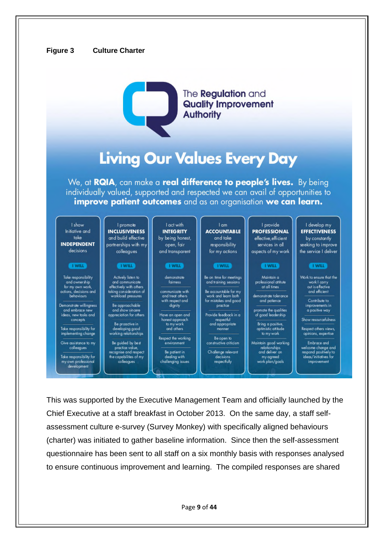

This was supported by the Executive Management Team and officially launched by the Chief Executive at a staff breakfast in October 2013. On the same day, a staff selfassessment culture e-survey (Survey Monkey) with specifically aligned behaviours (charter) was initiated to gather baseline information. Since then the self-assessment questionnaire has been sent to all staff on a six monthly basis with responses analysed to ensure continuous improvement and learning. The compiled responses are shared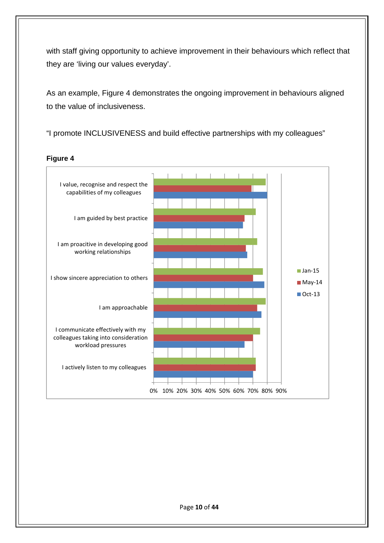with staff giving opportunity to achieve improvement in their behaviours which reflect that they are 'living our values everyday'.

As an example, Figure 4 demonstrates the ongoing improvement in behaviours aligned to the value of inclusiveness.

"I promote INCLUSIVENESS and build effective partnerships with my colleagues"



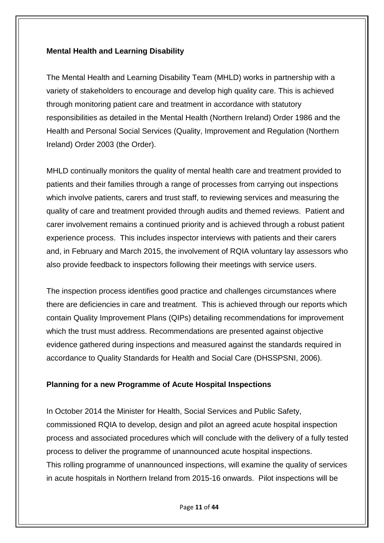#### **Mental Health and Learning Disability**

The Mental Health and Learning Disability Team (MHLD) works in partnership with a variety of stakeholders to encourage and develop high quality care. This is achieved through monitoring patient care and treatment in accordance with statutory responsibilities as detailed in the Mental Health (Northern Ireland) Order 1986 and the Health and Personal Social Services (Quality, Improvement and Regulation (Northern Ireland) Order 2003 (the Order).

MHLD continually monitors the quality of mental health care and treatment provided to patients and their families through a range of processes from carrying out inspections which involve patients, carers and trust staff, to reviewing services and measuring the quality of care and treatment provided through audits and themed reviews. Patient and carer involvement remains a continued priority and is achieved through a robust patient experience process. This includes inspector interviews with patients and their carers and, in February and March 2015, the involvement of RQIA voluntary lay assessors who also provide feedback to inspectors following their meetings with service users.

The inspection process identifies good practice and challenges circumstances where there are deficiencies in care and treatment. This is achieved through our reports which contain Quality Improvement Plans (QIPs) detailing recommendations for improvement which the trust must address. Recommendations are presented against objective evidence gathered during inspections and measured against the standards required in accordance to Quality Standards for Health and Social Care (DHSSPSNI, 2006).

#### **Planning for a new Programme of Acute Hospital Inspections**

In October 2014 the Minister for Health, Social Services and Public Safety, commissioned RQIA to develop, design and pilot an agreed acute hospital inspection process and associated procedures which will conclude with the delivery of a fully tested process to deliver the programme of unannounced acute hospital inspections. This rolling programme of unannounced inspections, will examine the quality of services in acute hospitals in Northern Ireland from 2015-16 onwards. Pilot inspections will be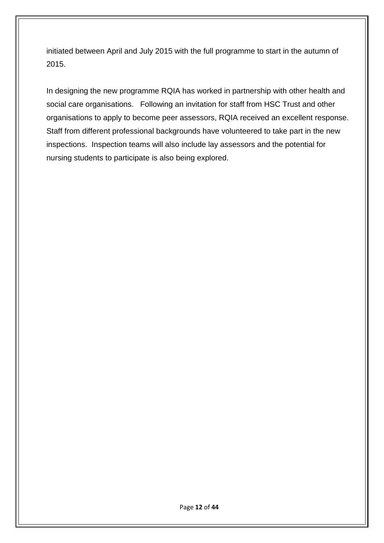initiated between April and July 2015 with the full programme to start in the autumn of 2015.

In designing the new programme RQIA has worked in partnership with other health and social care organisations. Following an invitation for staff from HSC Trust and other organisations to apply to become peer assessors, RQIA received an excellent response. Staff from different professional backgrounds have volunteered to take part in the new inspections. Inspection teams will also include lay assessors and the potential for nursing students to participate is also being explored.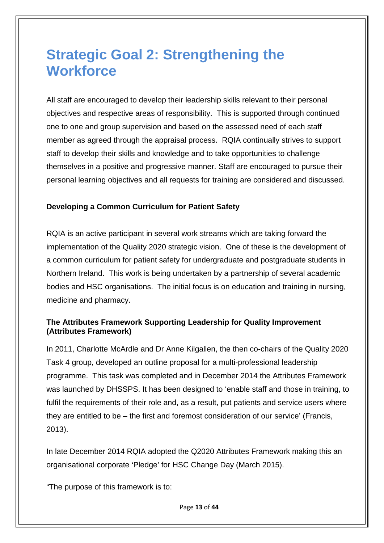### **Strategic Goal 2: Strengthening the Workforce**

All staff are encouraged to develop their leadership skills relevant to their personal objectives and respective areas of responsibility. This is supported through continued one to one and group supervision and based on the assessed need of each staff member as agreed through the appraisal process. RQIA continually strives to support staff to develop their skills and knowledge and to take opportunities to challenge themselves in a positive and progressive manner. Staff are encouraged to pursue their personal learning objectives and all requests for training are considered and discussed.

#### **Developing a Common Curriculum for Patient Safety**

RQIA is an active participant in several work streams which are taking forward the implementation of the Quality 2020 strategic vision. One of these is the development of a common curriculum for patient safety for undergraduate and postgraduate students in Northern Ireland. This work is being undertaken by a partnership of several academic bodies and HSC organisations. The initial focus is on education and training in nursing, medicine and pharmacy.

#### **The Attributes Framework Supporting Leadership for Quality Improvement (Attributes Framework)**

In 2011, Charlotte McArdle and Dr Anne Kilgallen, the then co-chairs of the Quality 2020 Task 4 group, developed an outline proposal for a multi-professional leadership programme. This task was completed and in December 2014 the Attributes Framework was launched by DHSSPS. It has been designed to 'enable staff and those in training, to fulfil the requirements of their role and, as a result, put patients and service users where they are entitled to be – the first and foremost consideration of our service' (Francis, 2013).

In late December 2014 RQIA adopted the Q2020 Attributes Framework making this an organisational corporate 'Pledge' for HSC Change Day (March 2015).

"The purpose of this framework is to:

Page **13** of **44**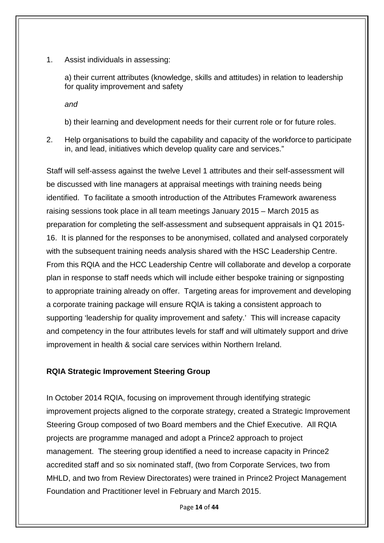1. Assist individuals in assessing:

a) their current attributes (knowledge, skills and attitudes) in relation to leadership for quality improvement and safety

*and*

- b) their learning and development needs for their current role or for future roles.
- 2. Help organisations to build the capability and capacity of the workforce to participate in, and lead, initiatives which develop quality care and services."

Staff will self-assess against the twelve Level 1 attributes and their self-assessment will be discussed with line managers at appraisal meetings with training needs being identified. To facilitate a smooth introduction of the Attributes Framework awareness raising sessions took place in all team meetings January 2015 – March 2015 as preparation for completing the self-assessment and subsequent appraisals in Q1 2015- 16. It is planned for the responses to be anonymised, collated and analysed corporately with the subsequent training needs analysis shared with the HSC Leadership Centre. From this RQIA and the HCC Leadership Centre will collaborate and develop a corporate plan in response to staff needs which will include either bespoke training or signposting to appropriate training already on offer. Targeting areas for improvement and developing a corporate training package will ensure RQIA is taking a consistent approach to supporting 'leadership for quality improvement and safety.' This will increase capacity and competency in the four attributes levels for staff and will ultimately support and drive improvement in health & social care services within Northern Ireland.

#### **RQIA Strategic Improvement Steering Group**

In October 2014 RQIA, focusing on improvement through identifying strategic improvement projects aligned to the corporate strategy, created a Strategic Improvement Steering Group composed of two Board members and the Chief Executive. All RQIA projects are programme managed and adopt a Prince2 approach to project management. The steering group identified a need to increase capacity in Prince2 accredited staff and so six nominated staff, (two from Corporate Services, two from MHLD, and two from Review Directorates) were trained in Prince2 Project Management Foundation and Practitioner level in February and March 2015.

Page **14** of **44**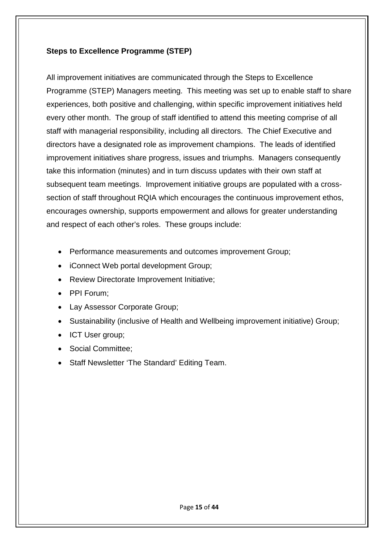#### **Steps to Excellence Programme (STEP)**

All improvement initiatives are communicated through the Steps to Excellence Programme (STEP) Managers meeting. This meeting was set up to enable staff to share experiences, both positive and challenging, within specific improvement initiatives held every other month. The group of staff identified to attend this meeting comprise of all staff with managerial responsibility, including all directors. The Chief Executive and directors have a designated role as improvement champions. The leads of identified improvement initiatives share progress, issues and triumphs. Managers consequently take this information (minutes) and in turn discuss updates with their own staff at subsequent team meetings. Improvement initiative groups are populated with a crosssection of staff throughout RQIA which encourages the continuous improvement ethos, encourages ownership, supports empowerment and allows for greater understanding and respect of each other's roles. These groups include:

- Performance measurements and outcomes improvement Group;
- iConnect Web portal development Group;
- Review Directorate Improvement Initiative;
- PPI Forum;
- Lay Assessor Corporate Group;
- Sustainability (inclusive of Health and Wellbeing improvement initiative) Group;
- ICT User group;
- Social Committee;
- Staff Newsletter 'The Standard' Editing Team.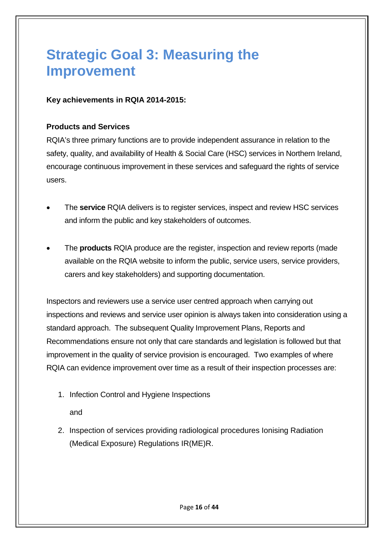# **Strategic Goal 3: Measuring the Improvement**

**Key achievements in RQIA 2014-2015:**

#### **Products and Services**

RQIA's three primary functions are to provide independent assurance in relation to the safety, quality, and availability of Health & Social Care (HSC) services in Northern Ireland, encourage continuous improvement in these services and safeguard the rights of service users.

- The **service** RQIA delivers is to register services, inspect and review HSC services and inform the public and key stakeholders of outcomes.
- The **products** RQIA produce are the register, inspection and review reports (made available on the RQIA website to inform the public, service users, service providers, carers and key stakeholders) and supporting documentation.

Inspectors and reviewers use a service user centred approach when carrying out inspections and reviews and service user opinion is always taken into consideration using a standard approach. The subsequent Quality Improvement Plans, Reports and Recommendations ensure not only that care standards and legislation is followed but that improvement in the quality of service provision is encouraged. Two examples of where RQIA can evidence improvement over time as a result of their inspection processes are:

- 1. Infection Control and Hygiene Inspections and
- 2. Inspection of services providing radiological procedures Ionising Radiation (Medical Exposure) Regulations IR(ME)R.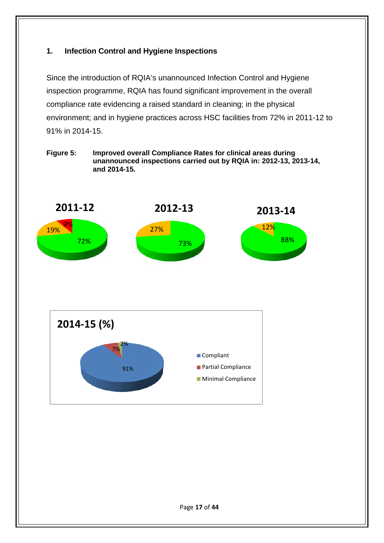#### **1. Infection Control and Hygiene Inspections**

Since the introduction of RQIA's unannounced Infection Control and Hygiene inspection programme, RQIA has found significant improvement in the overall compliance rate evidencing a raised standard in cleaning; in the physical environment; and in hygiene practices across HSC facilities from 72% in 2011-12 to 91% in 2014-15.





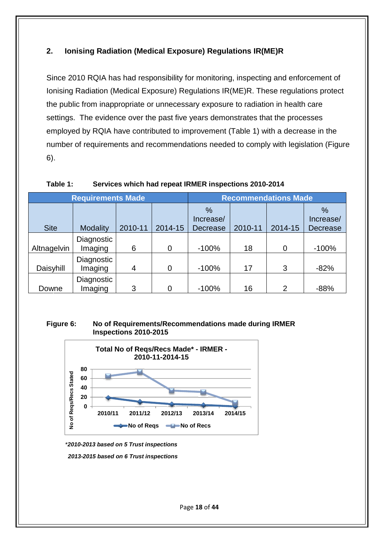#### **2. Ionising Radiation (Medical Exposure) Regulations IR(ME)R**

Since 2010 RQIA has had responsibility for monitoring, inspecting and enforcement of Ionising Radiation (Medical Exposure) Regulations IR(ME)R. These regulations protect the public from inappropriate or unnecessary exposure to radiation in health care settings. The evidence over the past five years demonstrates that the processes employed by RQIA have contributed to improvement (Table 1) with a decrease in the number of requirements and recommendations needed to comply with legislation (Figure 6).

| <b>Requirements Made</b> |                       |         | <b>Recommendations Made</b> |                                      |         |             |                                        |
|--------------------------|-----------------------|---------|-----------------------------|--------------------------------------|---------|-------------|----------------------------------------|
| <b>Site</b>              | <b>Modality</b>       | 2010-11 | 2014-15                     | $\%$<br>Increase/<br><b>Decrease</b> | 2010-11 | 2014-15     | $\frac{0}{0}$<br>Increase/<br>Decrease |
| Altnagelvin              | Diagnostic<br>Imaging | 6       | 0                           | $-100%$                              | 18      | $\mathbf 0$ | $-100%$                                |
| Daisyhill                | Diagnostic<br>Imaging | 4       | $\overline{0}$              | $-100%$                              | 17      | 3           | $-82%$                                 |
| Downe                    | Diagnostic<br>Imaging | 3       | 0                           | $-100%$                              | 16      | 2           | $-88%$                                 |

**Table 1: Services which had repeat IRMER inspections 2010-2014**

#### **Figure 6: No of Requirements/Recommendations made during IRMER Inspections 2010-2015**



*\*2010-2013 based on 5 Trust inspections*

*2013-2015 based on 6 Trust inspections*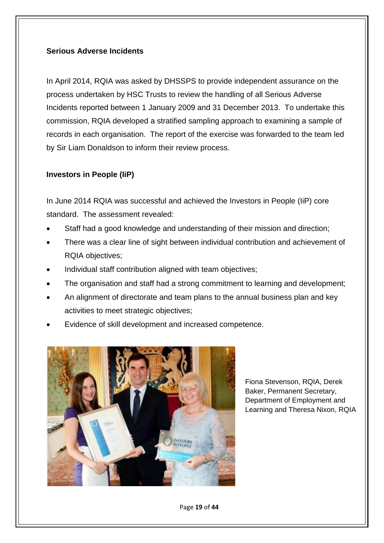#### **Serious Adverse Incidents**

In April 2014, RQIA was asked by DHSSPS to provide independent assurance on the process undertaken by HSC Trusts to review the handling of all Serious Adverse Incidents reported between 1 January 2009 and 31 December 2013. To undertake this commission, RQIA developed a stratified sampling approach to examining a sample of records in each organisation. The report of the exercise was forwarded to the team led by Sir Liam Donaldson to inform their review process.

#### **Investors in People (IiP)**

In June 2014 RQIA was successful and achieved the Investors in People (IiP) core standard. The assessment revealed:

- Staff had a good knowledge and understanding of their mission and direction;
- There was a clear line of sight between individual contribution and achievement of RQIA objectives;
- Individual staff contribution aligned with team objectives;
- The organisation and staff had a strong commitment to learning and development;
- An alignment of directorate and team plans to the annual business plan and key activities to meet strategic objectives;
- Evidence of skill development and increased competence.



Fiona Stevenson, RQIA, Derek Baker, Permanent Secretary, Department of Employment and Learning and Theresa Nixon, RQIA

Page **19** of **44**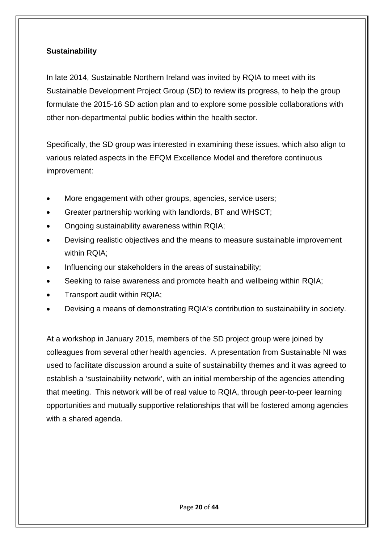#### **Sustainability**

In late 2014, Sustainable Northern Ireland was invited by RQIA to meet with its Sustainable Development Project Group (SD) to review its progress, to help the group formulate the 2015-16 SD action plan and to explore some possible collaborations with other non-departmental public bodies within the health sector.

Specifically, the SD group was interested in examining these issues, which also align to various related aspects in the EFQM Excellence Model and therefore continuous improvement:

- More engagement with other groups, agencies, service users;
- Greater partnership working with landlords, BT and WHSCT;
- Ongoing sustainability awareness within RQIA;
- Devising realistic objectives and the means to measure sustainable improvement within RQIA;
- Influencing our stakeholders in the areas of sustainability;
- Seeking to raise awareness and promote health and wellbeing within RQIA;
- Transport audit within RQIA;
- Devising a means of demonstrating RQIA's contribution to sustainability in society.

At a workshop in January 2015, members of the SD project group were joined by colleagues from several other health agencies. A presentation from Sustainable NI was used to facilitate discussion around a suite of sustainability themes and it was agreed to establish a 'sustainability network', with an initial membership of the agencies attending that meeting. This network will be of real value to RQIA, through peer-to-peer learning opportunities and mutually supportive relationships that will be fostered among agencies with a shared agenda.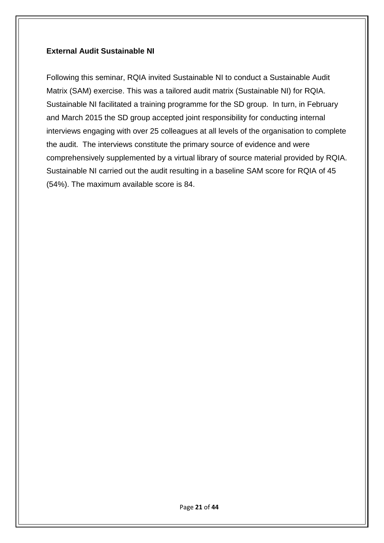#### **External Audit Sustainable NI**

Following this seminar, RQIA invited Sustainable NI to conduct a Sustainable Audit Matrix (SAM) exercise. This was a tailored audit matrix (Sustainable NI) for RQIA. Sustainable NI facilitated a training programme for the SD group. In turn, in February and March 2015 the SD group accepted joint responsibility for conducting internal interviews engaging with over 25 colleagues at all levels of the organisation to complete the audit. The interviews constitute the primary source of evidence and were comprehensively supplemented by a virtual library of source material provided by RQIA. Sustainable NI carried out the audit resulting in a baseline SAM score for RQIA of 45 (54%). The maximum available score is 84.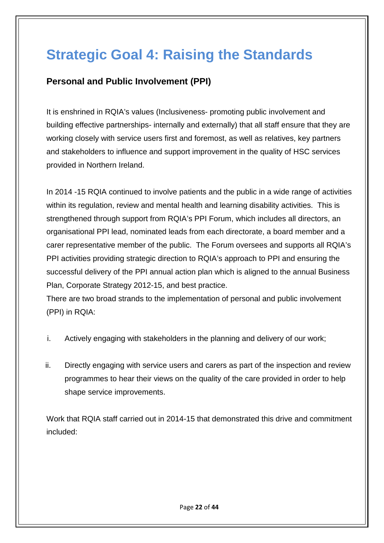# **Strategic Goal 4: Raising the Standards**

### **Personal and Public Involvement (PPI)**

It is enshrined in RQIA's values (Inclusiveness- promoting public involvement and building effective partnerships- internally and externally) that all staff ensure that they are working closely with service users first and foremost, as well as relatives, key partners and stakeholders to influence and support improvement in the quality of HSC services provided in Northern Ireland.

In 2014 -15 RQIA continued to involve patients and the public in a wide range of activities within its regulation, review and mental health and learning disability activities. This is strengthened through support from RQIA's PPI Forum, which includes all directors, an organisational PPI lead, nominated leads from each directorate, a board member and a carer representative member of the public. The Forum oversees and supports all RQIA's PPI activities providing strategic direction to RQIA's approach to PPI and ensuring the successful delivery of the PPI annual action plan which is aligned to the annual Business Plan, Corporate Strategy 2012-15, and best practice.

There are two broad strands to the implementation of personal and public involvement (PPI) in RQIA:

- i. Actively engaging with stakeholders in the planning and delivery of our work;
- ii. Directly engaging with service users and carers as part of the inspection and review programmes to hear their views on the quality of the care provided in order to help shape service improvements.

Work that RQIA staff carried out in 2014-15 that demonstrated this drive and commitment included: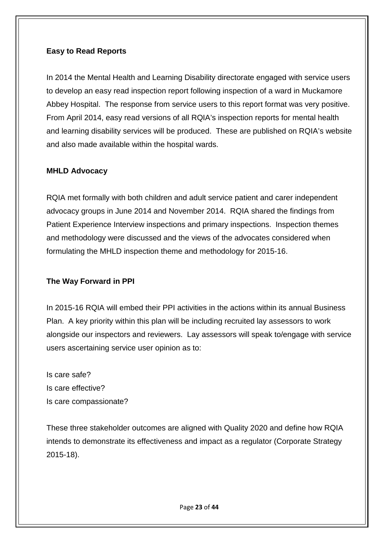#### **Easy to Read Reports**

In 2014 the Mental Health and Learning Disability directorate engaged with service users to develop an easy read inspection report following inspection of a ward in Muckamore Abbey Hospital. The response from service users to this report format was very positive. From April 2014, easy read versions of all RQIA's inspection reports for mental health and learning disability services will be produced. These are published on RQIA's website and also made available within the hospital wards.

#### **MHLD Advocacy**

RQIA met formally with both children and adult service patient and carer independent advocacy groups in June 2014 and November 2014. RQIA shared the findings from Patient Experience Interview inspections and primary inspections. Inspection themes and methodology were discussed and the views of the advocates considered when formulating the MHLD inspection theme and methodology for 2015-16.

#### **The Way Forward in PPI**

In 2015-16 RQIA will embed their PPI activities in the actions within its annual Business Plan. A key priority within this plan will be including recruited lay assessors to work alongside our inspectors and reviewers. Lay assessors will speak to/engage with service users ascertaining service user opinion as to:

Is care safe? Is care effective? Is care compassionate?

These three stakeholder outcomes are aligned with Quality 2020 and define how RQIA intends to demonstrate its effectiveness and impact as a regulator (Corporate Strategy 2015-18).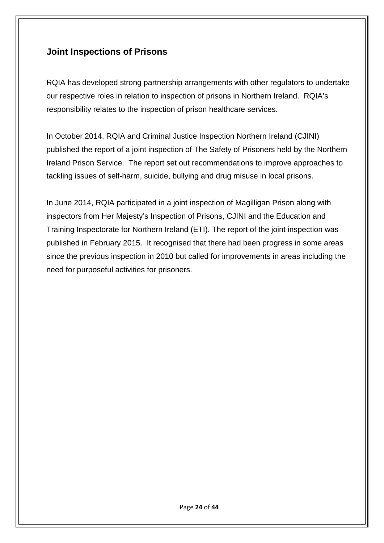#### **Joint Inspections of Prisons**

RQIA has developed strong partnership arrangements with other regulators to undertake our respective roles in relation to inspection of prisons in Northern Ireland. RQIA's responsibility relates to the inspection of prison healthcare services.

In October 2014, RQIA and Criminal Justice Inspection Northern Ireland (CJINI) published the report of a joint inspection of The Safety of Prisoners held by the Northern Ireland Prison Service. The report set out recommendations to improve approaches to tackling issues of self-harm, suicide, bullying and drug misuse in local prisons.

In June 2014, RQIA participated in a joint inspection of Magilligan Prison along with inspectors from Her Majesty's Inspection of Prisons, CJINI and the Education and Training Inspectorate for Northern Ireland (ETI). The report of the joint inspection was published in February 2015. It recognised that there had been progress in some areas since the previous inspection in 2010 but called for improvements in areas including the need for purposeful activities for prisoners.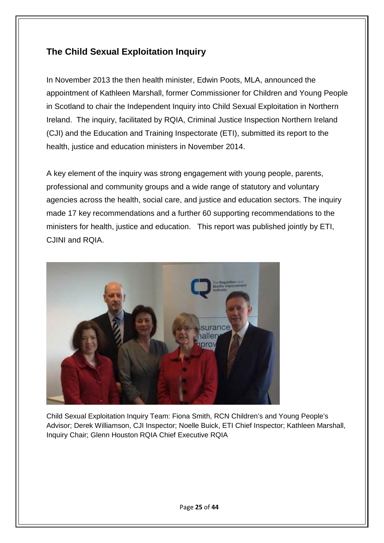#### **The Child Sexual Exploitation Inquiry**

In November 2013 the then health minister, Edwin Poots, MLA, announced the appointment of Kathleen Marshall, former Commissioner for Children and Young People in Scotland to chair the Independent Inquiry into Child Sexual Exploitation in Northern Ireland. The inquiry, facilitated by RQIA, Criminal Justice Inspection Northern Ireland (CJI) and the Education and Training Inspectorate (ETI), submitted its report to the health, justice and education ministers in November 2014.

A key element of the inquiry was strong engagement with young people, parents, professional and community groups and a wide range of statutory and voluntary agencies across the health, social care, and justice and education sectors. The inquiry made 17 key recommendations and a further 60 supporting recommendations to the ministers for health, justice and education. This report was published jointly by ETI, CJINI and RQIA.



Child Sexual Exploitation Inquiry Team: Fiona Smith, RCN Children's and Young People's Advisor; Derek Williamson, CJI Inspector; Noelle Buick, ETI Chief Inspector; Kathleen Marshall, Inquiry Chair; Glenn Houston RQIA Chief Executive RQIA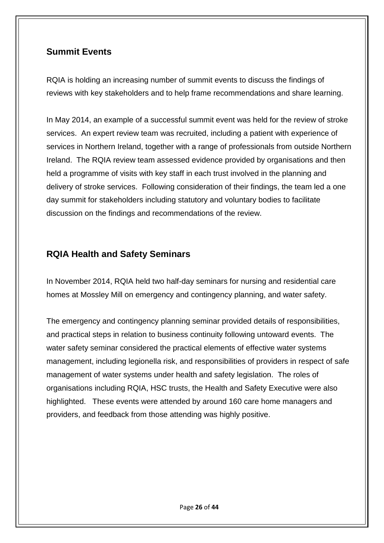#### **Summit Events**

RQIA is holding an increasing number of summit events to discuss the findings of reviews with key stakeholders and to help frame recommendations and share learning.

In May 2014, an example of a successful summit event was held for the review of stroke services. An expert review team was recruited, including a patient with experience of services in Northern Ireland, together with a range of professionals from outside Northern Ireland. The RQIA review team assessed evidence provided by organisations and then held a programme of visits with key staff in each trust involved in the planning and delivery of stroke services. Following consideration of their findings, the team led a one day summit for stakeholders including statutory and voluntary bodies to facilitate discussion on the findings and recommendations of the review.

#### **RQIA Health and Safety Seminars**

In November 2014, RQIA held two half-day seminars for nursing and residential care homes at Mossley Mill on emergency and contingency planning, and water safety.

The emergency and contingency planning seminar provided details of responsibilities, and practical steps in relation to business continuity following untoward events. The water safety seminar considered the practical elements of effective water systems management, including legionella risk, and responsibilities of providers in respect of safe management of water systems under health and safety legislation. The roles of organisations including RQIA, HSC trusts, the Health and Safety Executive were also highlighted. These events were attended by around 160 care home managers and providers, and feedback from those attending was highly positive.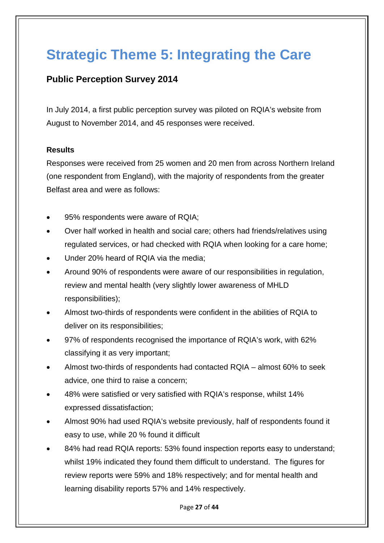# **Strategic Theme 5: Integrating the Care**

### **Public Perception Survey 2014**

In July 2014, a first public perception survey was piloted on RQIA's website from August to November 2014, and 45 responses were received.

#### **Results**

Responses were received from 25 women and 20 men from across Northern Ireland (one respondent from England), with the majority of respondents from the greater Belfast area and were as follows:

- 95% respondents were aware of RQIA;
- Over half worked in health and social care; others had friends/relatives using regulated services, or had checked with RQIA when looking for a care home;
- Under 20% heard of RQIA via the media;
- Around 90% of respondents were aware of our responsibilities in regulation, review and mental health (very slightly lower awareness of MHLD responsibilities);
- Almost two-thirds of respondents were confident in the abilities of RQIA to deliver on its responsibilities;
- 97% of respondents recognised the importance of RQIA's work, with 62% classifying it as very important;
- Almost two-thirds of respondents had contacted RQIA almost 60% to seek advice, one third to raise a concern;
- 48% were satisfied or very satisfied with RQIA's response, whilst 14% expressed dissatisfaction;
- Almost 90% had used RQIA's website previously, half of respondents found it easy to use, while 20 % found it difficult
- 84% had read RQIA reports: 53% found inspection reports easy to understand; whilst 19% indicated they found them difficult to understand. The figures for review reports were 59% and 18% respectively; and for mental health and learning disability reports 57% and 14% respectively.

Page **27** of **44**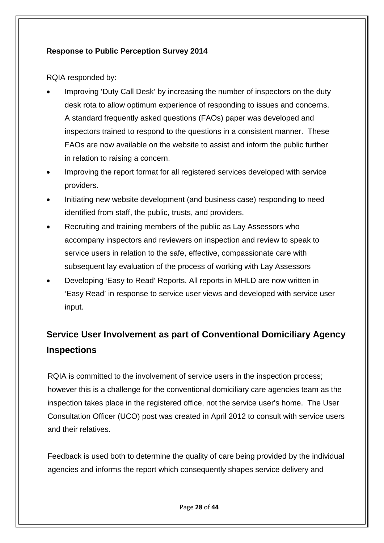#### **Response to Public Perception Survey 2014**

RQIA responded by:

- Improving 'Duty Call Desk' by increasing the number of inspectors on the duty desk rota to allow optimum experience of responding to issues and concerns. A standard frequently asked questions (FAOs) paper was developed and inspectors trained to respond to the questions in a consistent manner. These FAOs are now available on the website to assist and inform the public further in relation to raising a concern.
- Improving the report format for all registered services developed with service providers.
- Initiating new website development (and business case) responding to need identified from staff, the public, trusts, and providers.
- Recruiting and training members of the public as Lay Assessors who accompany inspectors and reviewers on inspection and review to speak to service users in relation to the safe, effective, compassionate care with subsequent lay evaluation of the process of working with Lay Assessors
- Developing 'Easy to Read' Reports. All reports in MHLD are now written in 'Easy Read' in response to service user views and developed with service user input.

### **Service User Involvement as part of Conventional Domiciliary Agency Inspections**

RQIA is committed to the involvement of service users in the inspection process; however this is a challenge for the conventional domiciliary care agencies team as the inspection takes place in the registered office, not the service user's home. The User Consultation Officer (UCO) post was created in April 2012 to consult with service users and their relatives.

Feedback is used both to determine the quality of care being provided by the individual agencies and informs the report which consequently shapes service delivery and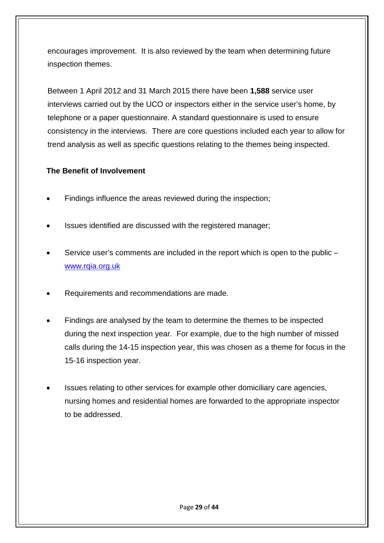encourages improvement. It is also reviewed by the team when determining future inspection themes.

Between 1 April 2012 and 31 March 2015 there have been **1,588** service user interviews carried out by the UCO or inspectors either in the service user's home, by telephone or a paper questionnaire. A standard questionnaire is used to ensure consistency in the interviews. There are core questions included each year to allow for trend analysis as well as specific questions relating to the themes being inspected.

#### **The Benefit of Involvement**

- Findings influence the areas reviewed during the inspection;
- Issues identified are discussed with the registered manager;
- Service user's comments are included in the report which is open to the public www.rqia.org.uk
- Requirements and recommendations are made.
- Findings are analysed by the team to determine the themes to be inspected during the next inspection year. For example, due to the high number of missed calls during the 14-15 inspection year, this was chosen as a theme for focus in the 15-16 inspection year.
- Issues relating to other services for example other domiciliary care agencies, nursing homes and residential homes are forwarded to the appropriate inspector to be addressed.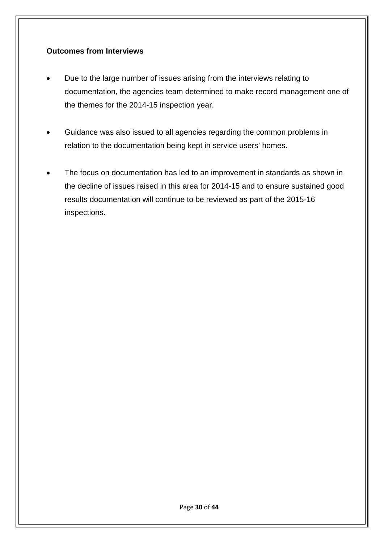#### **Outcomes from Interviews**

- Due to the large number of issues arising from the interviews relating to documentation, the agencies team determined to make record management one of the themes for the 2014-15 inspection year.
- Guidance was also issued to all agencies regarding the common problems in relation to the documentation being kept in service users' homes.
- The focus on documentation has led to an improvement in standards as shown in the decline of issues raised in this area for 2014-15 and to ensure sustained good results documentation will continue to be reviewed as part of the 2015-16 inspections.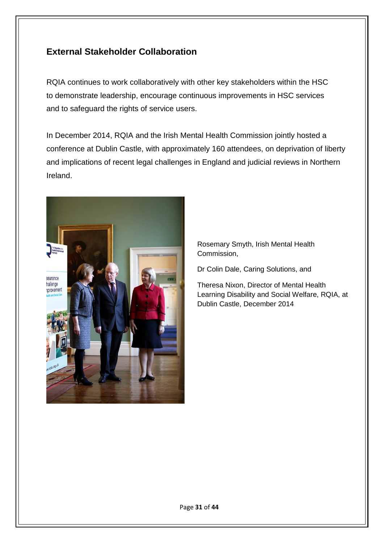#### **External Stakeholder Collaboration**

RQIA continues to work collaboratively with other key stakeholders within the HSC to demonstrate leadership, encourage continuous improvements in HSC services and to safeguard the rights of service users.

In December 2014, RQIA and the Irish Mental Health Commission jointly hosted a conference at Dublin Castle, with approximately 160 attendees, on deprivation of liberty and implications of recent legal challenges in England and judicial reviews in Northern Ireland.



Rosemary Smyth, Irish Mental Health Commission,

Dr Colin Dale, Caring Solutions, and

Theresa Nixon, Director of Mental Health Learning Disability and Social Welfare, RQIA, at Dublin Castle, December 2014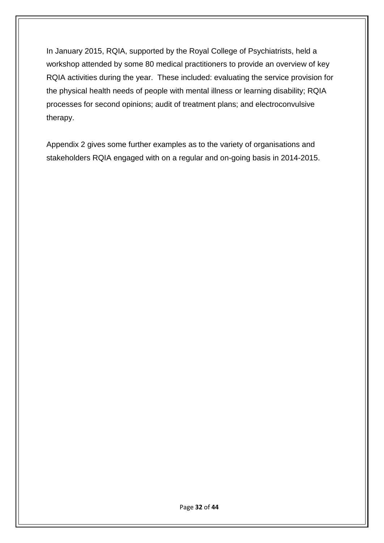In January 2015, RQIA, supported by the Royal College of Psychiatrists, held a workshop attended by some 80 medical practitioners to provide an overview of key RQIA activities during the year. These included: evaluating the service provision for the physical health needs of people with mental illness or learning disability; RQIA processes for second opinions; audit of treatment plans; and electroconvulsive therapy.

Appendix 2 gives some further examples as to the variety of organisations and stakeholders RQIA engaged with on a regular and on-going basis in 2014-2015.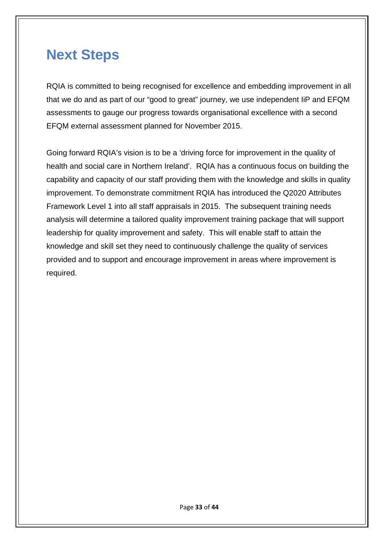# **Next Steps**

RQIA is committed to being recognised for excellence and embedding improvement in all that we do and as part of our "good to great" journey, we use independent IiP and EFQM assessments to gauge our progress towards organisational excellence with a second EFQM external assessment planned for November 2015.

Going forward RQIA's vision is to be a 'driving force for improvement in the quality of health and social care in Northern Ireland'. RQIA has a continuous focus on building the capability and capacity of our staff providing them with the knowledge and skills in quality improvement. To demonstrate commitment RQIA has introduced the Q2020 Attributes Framework Level 1 into all staff appraisals in 2015. The subsequent training needs analysis will determine a tailored quality improvement training package that will support leadership for quality improvement and safety. This will enable staff to attain the knowledge and skill set they need to continuously challenge the quality of services provided and to support and encourage improvement in areas where improvement is required.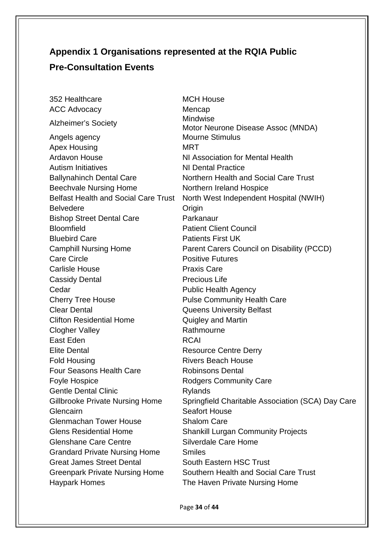### **Appendix 1 Organisations represented at the RQIA Public Pre-Consultation Events**

ACC Advocacy Mencap Alzheimer's Society **Mindwise** Angels agency **Mourne** Stimulus Apex Housing **MRT** Ardavon House NI Association for Mental Health Autism Initiatives NI Dental Practice Beechvale Nursing Home Northern Ireland Hospice Belvedere **Origin** Bishop Street Dental Care **Parkanaur** Bloomfield Patient Client Council Bluebird Care **Patients First UK** Care Circle **Care Circle Positive Futures** Carlisle House **Praxis Care** Cassidy Dental **Precious** Life Cedar **Public Health Agency** Cherry Tree House **Pulse Community Health Care** Clear Dental Queens University Belfast Clifton Residential Home Quigley and Martin Clogher Valley **Rathmourne** East Eden RCAI Elite Dental **Resource Centre Derry** Fold Housing **Rivers** Beach House Four Seasons Health Care **Robinsons Dental** Foyle Hospice **Rodgers Community Care** Gentle Dental Clinic **Rylands** Glencairn Seafort House Glenmachan Tower House Shalom Care Glenshane Care Centre **Silverdale Care Home** Grandard Private Nursing Home Smiles Great James Street Dental South Eastern HSC Trust Haypark Homes The Haven Private Nursing Home

352 Healthcare MCH House Motor Neurone Disease Assoc (MNDA) Ballynahinch Dental Care Northern Health and Social Care Trust Belfast Health and Social Care Trust North West Independent Hospital (NWIH) Camphill Nursing Home Parent Carers Council on Disability (PCCD) Gillbrooke Private Nursing Home Springfield Charitable Association (SCA) Day Care Glens Residential Home Shankill Lurgan Community Projects Greenpark Private Nursing Home Southern Health and Social Care Trust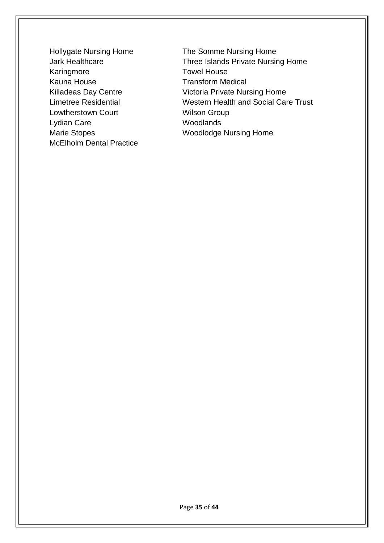- Karingmore Towel House Kauna House Transform Medical Lowtherstown Court Wilson Group Lydian Care Woodlands McElholm Dental Practice
- Hollygate Nursing Home The Somme Nursing Home Jark Healthcare Three Islands Private Nursing Home Killadeas Day Centre Victoria Private Nursing Home Limetree Residential Western Health and Social Care Trust Marie Stopes Woodlodge Nursing Home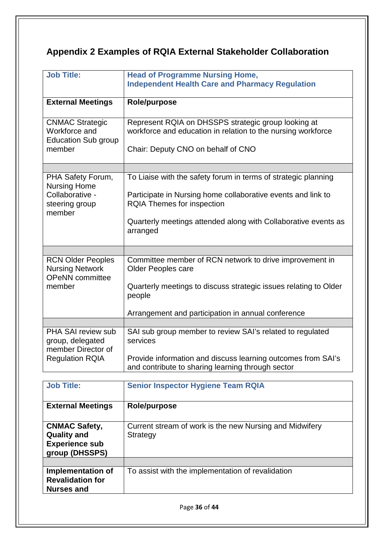### **Appendix 2 Examples of RQIA External Stakeholder Collaboration**

| <b>Job Title:</b>                                                            | <b>Head of Programme Nursing Home,</b><br><b>Independent Health Care and Pharmacy Regulation</b>                    |
|------------------------------------------------------------------------------|---------------------------------------------------------------------------------------------------------------------|
| <b>External Meetings</b>                                                     | Role/purpose                                                                                                        |
| <b>CNMAC Strategic</b><br>Workforce and<br><b>Education Sub group</b>        | Represent RQIA on DHSSPS strategic group looking at<br>workforce and education in relation to the nursing workforce |
| member                                                                       | Chair: Deputy CNO on behalf of CNO                                                                                  |
| PHA Safety Forum,<br><b>Nursing Home</b>                                     | To Liaise with the safety forum in terms of strategic planning                                                      |
| Collaborative -<br>steering group<br>member                                  | Participate in Nursing home collaborative events and link to<br><b>RQIA Themes for inspection</b>                   |
|                                                                              | Quarterly meetings attended along with Collaborative events as<br>arranged                                          |
|                                                                              |                                                                                                                     |
| <b>RCN Older Peoples</b><br><b>Nursing Network</b><br><b>OPeNN</b> committee | Committee member of RCN network to drive improvement in<br><b>Older Peoples care</b>                                |
| member                                                                       | Quarterly meetings to discuss strategic issues relating to Older<br>people                                          |
|                                                                              | Arrangement and participation in annual conference                                                                  |
|                                                                              |                                                                                                                     |
| PHA SAI review sub<br>group, delegated<br>member Director of                 | SAI sub group member to review SAI's related to regulated<br>services                                               |
| <b>Regulation RQIA</b>                                                       | Provide information and discuss learning outcomes from SAI's<br>and contribute to sharing learning through sector   |

| <b>Job Title:</b>                                                                     | <b>Senior Inspector Hygiene Team RQIA</b>                           |
|---------------------------------------------------------------------------------------|---------------------------------------------------------------------|
| <b>External Meetings</b>                                                              | Role/purpose                                                        |
| <b>CNMAC Safety,</b><br><b>Quality and</b><br><b>Experience sub</b><br>group (DHSSPS) | Current stream of work is the new Nursing and Midwifery<br>Strategy |
|                                                                                       |                                                                     |
| <b>Implementation of</b><br><b>Revalidation for</b><br><b>Nurses and</b>              | To assist with the implementation of revalidation                   |

Page **36** of **44**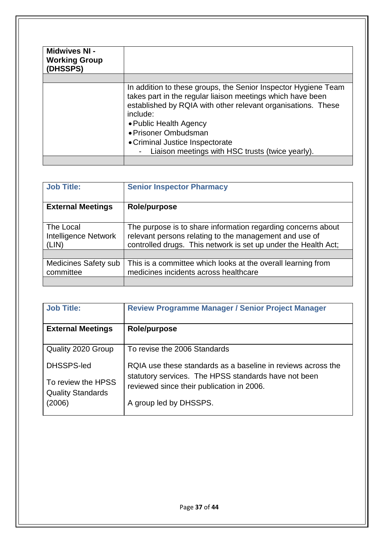| <b>Midwives NI -</b><br><b>Working Group</b><br>(DHSSPS) |                                                                                                                                                                                                                                                                                                                                                   |
|----------------------------------------------------------|---------------------------------------------------------------------------------------------------------------------------------------------------------------------------------------------------------------------------------------------------------------------------------------------------------------------------------------------------|
|                                                          |                                                                                                                                                                                                                                                                                                                                                   |
|                                                          | In addition to these groups, the Senior Inspector Hygiene Team<br>takes part in the regular liaison meetings which have been<br>established by RQIA with other relevant organisations. These<br>include:<br>• Public Health Agency<br>• Prisoner Ombudsman<br>• Criminal Justice Inspectorate<br>Liaison meetings with HSC trusts (twice yearly). |
|                                                          |                                                                                                                                                                                                                                                                                                                                                   |

| <b>Job Title:</b>                                 | <b>Senior Inspector Pharmacy</b>                                                                                                                                                         |
|---------------------------------------------------|------------------------------------------------------------------------------------------------------------------------------------------------------------------------------------------|
| <b>External Meetings</b>                          | Role/purpose                                                                                                                                                                             |
| The Local<br><b>Intelligence Network</b><br>(LIN) | The purpose is to share information regarding concerns about<br>relevant persons relating to the management and use of<br>controlled drugs. This network is set up under the Health Act; |
|                                                   |                                                                                                                                                                                          |
| Medicines Safety sub<br>committee                 | This is a committee which looks at the overall learning from<br>medicines incidents across healthcare                                                                                    |
|                                                   |                                                                                                                                                                                          |

| <b>Job Title:</b>                              | <b>Review Programme Manager / Senior Project Manager</b>                                                             |
|------------------------------------------------|----------------------------------------------------------------------------------------------------------------------|
| <b>External Meetings</b>                       | Role/purpose                                                                                                         |
| Quality 2020 Group                             | To revise the 2006 Standards                                                                                         |
| DHSSPS-led                                     | RQIA use these standards as a baseline in reviews across the<br>statutory services. The HPSS standards have not been |
| To review the HPSS<br><b>Quality Standards</b> | reviewed since their publication in 2006.                                                                            |
| (2006)                                         | A group led by DHSSPS.                                                                                               |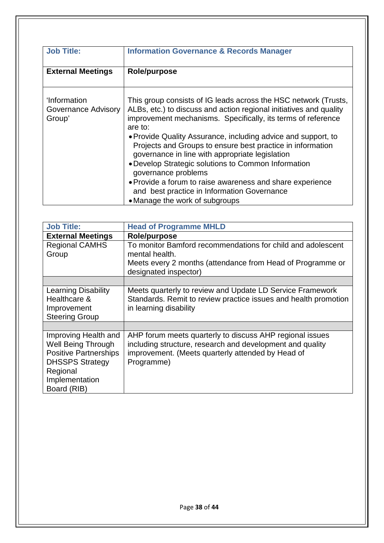| <b>Job Title:</b>                             | <b>Information Governance &amp; Records Manager</b>                                                                                                                                                                                                                                                                                                                                                                                                                                                                                                                                                                            |
|-----------------------------------------------|--------------------------------------------------------------------------------------------------------------------------------------------------------------------------------------------------------------------------------------------------------------------------------------------------------------------------------------------------------------------------------------------------------------------------------------------------------------------------------------------------------------------------------------------------------------------------------------------------------------------------------|
| <b>External Meetings</b>                      | Role/purpose                                                                                                                                                                                                                                                                                                                                                                                                                                                                                                                                                                                                                   |
| 'Information<br>Governance Advisory<br>Group' | This group consists of IG leads across the HSC network (Trusts,<br>ALBs, etc.) to discuss and action regional initiatives and quality<br>improvement mechanisms. Specifically, its terms of reference<br>are to:<br>• Provide Quality Assurance, including advice and support, to<br>Projects and Groups to ensure best practice in information<br>governance in line with appropriate legislation<br>• Develop Strategic solutions to Common Information<br>governance problems<br>• Provide a forum to raise awareness and share experience<br>and best practice in Information Governance<br>• Manage the work of subgroups |

| <b>Job Title:</b>                                                                                                                                 | <b>Head of Programme MHLD</b>                                                                                                                                                            |
|---------------------------------------------------------------------------------------------------------------------------------------------------|------------------------------------------------------------------------------------------------------------------------------------------------------------------------------------------|
| <b>External Meetings</b>                                                                                                                          | Role/purpose                                                                                                                                                                             |
| <b>Regional CAMHS</b>                                                                                                                             | To monitor Bamford recommendations for child and adolescent                                                                                                                              |
| Group                                                                                                                                             | mental health.                                                                                                                                                                           |
|                                                                                                                                                   | Meets every 2 months (attendance from Head of Programme or<br>designated inspector)                                                                                                      |
|                                                                                                                                                   |                                                                                                                                                                                          |
| <b>Learning Disability</b><br>Healthcare &<br>Improvement<br><b>Steering Group</b>                                                                | Meets quarterly to review and Update LD Service Framework<br>Standards. Remit to review practice issues and health promotion<br>in learning disability                                   |
|                                                                                                                                                   |                                                                                                                                                                                          |
| Improving Health and<br>Well Being Through<br><b>Positive Partnerships</b><br><b>DHSSPS Strategy</b><br>Regional<br>Implementation<br>Board (RIB) | AHP forum meets quarterly to discuss AHP regional issues<br>including structure, research and development and quality<br>improvement. (Meets quarterly attended by Head of<br>Programme) |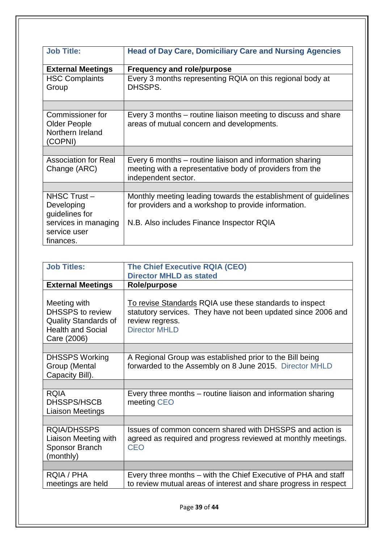| <b>Job Title:</b>                                                      | <b>Head of Day Care, Domiciliary Care and Nursing Agencies</b>                                                                              |
|------------------------------------------------------------------------|---------------------------------------------------------------------------------------------------------------------------------------------|
| <b>External Meetings</b>                                               | <b>Frequency and role/purpose</b>                                                                                                           |
| <b>HSC Complaints</b><br>Group                                         | Every 3 months representing RQIA on this regional body at<br>DHSSPS.                                                                        |
|                                                                        |                                                                                                                                             |
| Commissioner for<br><b>Older People</b><br>Northern Ireland<br>(COPNI) | Every 3 months – routine liaison meeting to discuss and share<br>areas of mutual concern and developments.                                  |
|                                                                        |                                                                                                                                             |
| <b>Association for Real</b><br>Change (ARC)                            | Every 6 months – routine liaison and information sharing<br>meeting with a representative body of providers from the<br>independent sector. |
|                                                                        |                                                                                                                                             |
| NHSC Trust-<br>Developing<br>guidelines for                            | Monthly meeting leading towards the establishment of guidelines<br>for providers and a workshop to provide information.                     |
| services in managing<br>service user<br>finances.                      | N.B. Also includes Finance Inspector RQIA                                                                                                   |

| <b>Job Titles:</b>          | <b>The Chief Executive RQIA (CEO)</b>                            |
|-----------------------------|------------------------------------------------------------------|
|                             | <b>Director MHLD as stated</b>                                   |
| <b>External Meetings</b>    | Role/purpose                                                     |
|                             |                                                                  |
| Meeting with                | To revise Standards RQIA use these standards to inspect          |
| <b>DHSSPS</b> to review     | statutory services. They have not been updated since 2006 and    |
| <b>Quality Standards of</b> | review regress.                                                  |
| <b>Health and Social</b>    | <b>Director MHLD</b>                                             |
| Care (2006)                 |                                                                  |
|                             |                                                                  |
| <b>DHSSPS Working</b>       | A Regional Group was established prior to the Bill being         |
| Group (Mental               | forwarded to the Assembly on 8 June 2015. Director MHLD          |
| Capacity Bill).             |                                                                  |
|                             |                                                                  |
| <b>RQIA</b>                 | Every three months – routine liaison and information sharing     |
| <b>DHSSPS/HSCB</b>          | meeting CEO                                                      |
| Liaison Meetings            |                                                                  |
|                             |                                                                  |
| <b>RQIA/DHSSPS</b>          | Issues of common concern shared with DHSSPS and action is        |
| Liaison Meeting with        | agreed as required and progress reviewed at monthly meetings.    |
| Sponsor Branch              | CEO                                                              |
| (monthly)                   |                                                                  |
|                             |                                                                  |
| RQIA / PHA                  | Every three months – with the Chief Executive of PHA and staff   |
| meetings are held           | to review mutual areas of interest and share progress in respect |
|                             |                                                                  |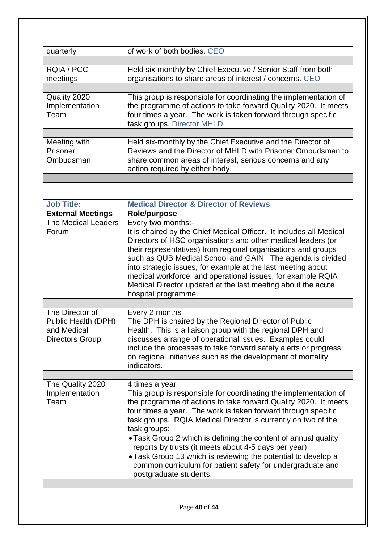| quarterly      | of work of both bodies. CEO                                      |
|----------------|------------------------------------------------------------------|
|                |                                                                  |
| RQIA / PCC     | Held six-monthly by Chief Executive / Senior Staff from both     |
| meetings       | organisations to share areas of interest / concerns. CEO         |
|                |                                                                  |
| Quality 2020   | This group is responsible for coordinating the implementation of |
| Implementation | the programme of actions to take forward Quality 2020. It meets  |
| Team           | four times a year. The work is taken forward through specific    |
|                | task groups. Director MHLD                                       |
|                |                                                                  |
| Meeting with   | Held six-monthly by the Chief Executive and the Director of      |
| Prisoner       | Reviews and the Director of MHLD with Prisoner Ombudsman to      |
| Ombudsman      | share common areas of interest, serious concerns and any         |
|                | action required by either body.                                  |
|                |                                                                  |

| <b>Job Title:</b>                                                               | <b>Medical Director &amp; Director of Reviews</b>                                                                                                                                                                                                                                                                                                                                                                                                                                                                                                                                          |
|---------------------------------------------------------------------------------|--------------------------------------------------------------------------------------------------------------------------------------------------------------------------------------------------------------------------------------------------------------------------------------------------------------------------------------------------------------------------------------------------------------------------------------------------------------------------------------------------------------------------------------------------------------------------------------------|
| <b>External Meetings</b>                                                        | Role/purpose                                                                                                                                                                                                                                                                                                                                                                                                                                                                                                                                                                               |
| The Medical Leaders<br>Forum                                                    | Every two months:-<br>It is chaired by the Chief Medical Officer. It includes all Medical<br>Directors of HSC organisations and other medical leaders (or<br>their representatives) from regional organisations and groups<br>such as QUB Medical School and GAIN. The agenda is divided<br>into strategic issues, for example at the last meeting about<br>medical workforce, and operational issues, for example RQIA<br>Medical Director updated at the last meeting about the acute<br>hospital programme.                                                                             |
|                                                                                 |                                                                                                                                                                                                                                                                                                                                                                                                                                                                                                                                                                                            |
| The Director of<br>Public Health (DPH)<br>and Medical<br><b>Directors Group</b> | Every 2 months<br>The DPH is chaired by the Regional Director of Public<br>Health. This is a liaison group with the regional DPH and<br>discusses a range of operational issues. Examples could<br>include the processes to take forward safety alerts or progress<br>on regional initiatives such as the development of mortality<br>indicators.                                                                                                                                                                                                                                          |
|                                                                                 |                                                                                                                                                                                                                                                                                                                                                                                                                                                                                                                                                                                            |
| The Quality 2020<br>Implementation<br>Team                                      | 4 times a year<br>This group is responsible for coordinating the implementation of<br>the programme of actions to take forward Quality 2020. It meets<br>four times a year. The work is taken forward through specific<br>task groups. RQIA Medical Director is currently on two of the<br>task groups:<br>• Task Group 2 which is defining the content of annual quality<br>reports by trusts (it meets about 4-5 days per year)<br>• Task Group 13 which is reviewing the potential to develop a<br>common curriculum for patient safety for undergraduate and<br>postgraduate students. |
|                                                                                 |                                                                                                                                                                                                                                                                                                                                                                                                                                                                                                                                                                                            |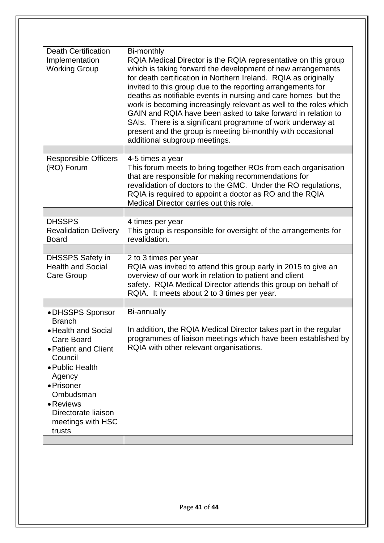| <b>Death Certification</b><br>Implementation<br><b>Working Group</b>                                                                                                                                             | Bi-monthly<br>RQIA Medical Director is the RQIA representative on this group<br>which is taking forward the development of new arrangements<br>for death certification in Northern Ireland. RQIA as originally<br>invited to this group due to the reporting arrangements for<br>deaths as notifiable events in nursing and care homes but the<br>work is becoming increasingly relevant as well to the roles which<br>GAIN and RQIA have been asked to take forward in relation to<br>SAIs. There is a significant programme of work underway at<br>present and the group is meeting bi-monthly with occasional<br>additional subgroup meetings. |
|------------------------------------------------------------------------------------------------------------------------------------------------------------------------------------------------------------------|---------------------------------------------------------------------------------------------------------------------------------------------------------------------------------------------------------------------------------------------------------------------------------------------------------------------------------------------------------------------------------------------------------------------------------------------------------------------------------------------------------------------------------------------------------------------------------------------------------------------------------------------------|
| <b>Responsible Officers</b><br>(RO) Forum                                                                                                                                                                        | 4-5 times a year<br>This forum meets to bring together ROs from each organisation<br>that are responsible for making recommendations for<br>revalidation of doctors to the GMC. Under the RO regulations,<br>RQIA is required to appoint a doctor as RO and the RQIA<br>Medical Director carries out this role.                                                                                                                                                                                                                                                                                                                                   |
| <b>DHSSPS</b><br><b>Revalidation Delivery</b><br><b>Board</b>                                                                                                                                                    | 4 times per year<br>This group is responsible for oversight of the arrangements for<br>revalidation.                                                                                                                                                                                                                                                                                                                                                                                                                                                                                                                                              |
| <b>DHSSPS Safety in</b><br><b>Health and Social</b><br><b>Care Group</b>                                                                                                                                         | 2 to 3 times per year<br>RQIA was invited to attend this group early in 2015 to give an<br>overview of our work in relation to patient and client<br>safety. RQIA Medical Director attends this group on behalf of<br>RQIA. It meets about 2 to 3 times per year.                                                                                                                                                                                                                                                                                                                                                                                 |
| • DHSSPS Sponsor                                                                                                                                                                                                 | <b>Bi-annually</b>                                                                                                                                                                                                                                                                                                                                                                                                                                                                                                                                                                                                                                |
| <b>Branch</b><br>• Health and Social<br>Care Board<br>• Patient and Client<br>Council<br>• Public Health<br>Agency<br>• Prisoner<br>Ombudsman<br>• Reviews<br>Directorate liaison<br>meetings with HSC<br>trusts | In addition, the RQIA Medical Director takes part in the regular<br>programmes of liaison meetings which have been established by<br>RQIA with other relevant organisations.                                                                                                                                                                                                                                                                                                                                                                                                                                                                      |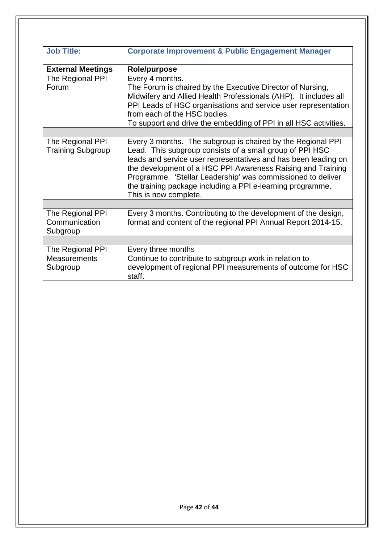| <b>Job Title:</b>                                   | <b>Corporate Improvement &amp; Public Engagement Manager</b>                                                                                                                                                                                                                                                                                                                                                   |
|-----------------------------------------------------|----------------------------------------------------------------------------------------------------------------------------------------------------------------------------------------------------------------------------------------------------------------------------------------------------------------------------------------------------------------------------------------------------------------|
| <b>External Meetings</b>                            | Role/purpose                                                                                                                                                                                                                                                                                                                                                                                                   |
| The Regional PPI                                    | Every 4 months.                                                                                                                                                                                                                                                                                                                                                                                                |
| Forum                                               | The Forum is chaired by the Executive Director of Nursing,<br>Midwifery and Allied Health Professionals (AHP). It includes all<br>PPI Leads of HSC organisations and service user representation<br>from each of the HSC bodies.<br>To support and drive the embedding of PPI in all HSC activities.                                                                                                           |
|                                                     |                                                                                                                                                                                                                                                                                                                                                                                                                |
| The Regional PPI<br><b>Training Subgroup</b>        | Every 3 months. The subgroup is chaired by the Regional PPI<br>Lead. This subgroup consists of a small group of PPI HSC<br>leads and service user representatives and has been leading on<br>the development of a HSC PPI Awareness Raising and Training<br>Programme. 'Stellar Leadership' was commissioned to deliver<br>the training package including a PPI e-learning programme.<br>This is now complete. |
|                                                     |                                                                                                                                                                                                                                                                                                                                                                                                                |
| The Regional PPI<br>Communication<br>Subgroup       | Every 3 months. Contributing to the development of the design,<br>format and content of the regional PPI Annual Report 2014-15.                                                                                                                                                                                                                                                                                |
|                                                     |                                                                                                                                                                                                                                                                                                                                                                                                                |
| The Regional PPI<br><b>Measurements</b><br>Subgroup | Every three months<br>Continue to contribute to subgroup work in relation to<br>development of regional PPI measurements of outcome for HSC<br>staff.                                                                                                                                                                                                                                                          |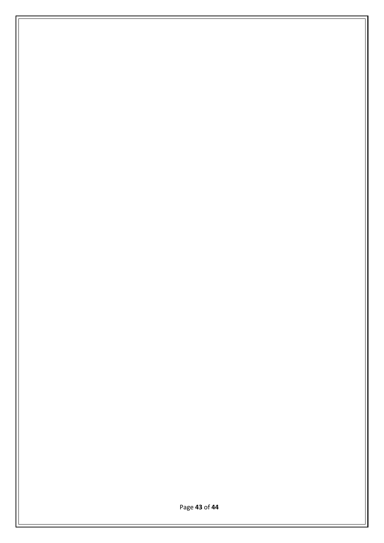Page **43** of **44**